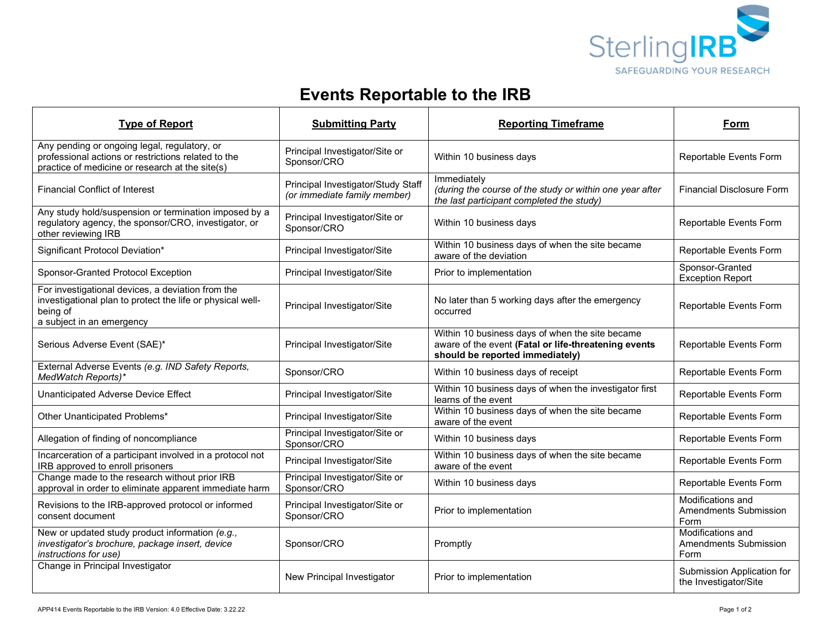

## **Events Reportable to the IRB**

| <b>Type of Report</b>                                                                                                                                    | <b>Submitting Party</b>                                            | <b>Reporting Timeframe</b>                                                                                                                 | Form                                                      |
|----------------------------------------------------------------------------------------------------------------------------------------------------------|--------------------------------------------------------------------|--------------------------------------------------------------------------------------------------------------------------------------------|-----------------------------------------------------------|
| Any pending or ongoing legal, regulatory, or<br>professional actions or restrictions related to the<br>practice of medicine or research at the site(s)   | Principal Investigator/Site or<br>Sponsor/CRO                      | Within 10 business days                                                                                                                    | Reportable Events Form                                    |
| <b>Financial Conflict of Interest</b>                                                                                                                    | Principal Investigator/Study Staff<br>(or immediate family member) | Immediately<br>(during the course of the study or within one year after<br>the last participant completed the study)                       | <b>Financial Disclosure Form</b>                          |
| Any study hold/suspension or termination imposed by a<br>regulatory agency, the sponsor/CRO, investigator, or<br>other reviewing IRB                     | Principal Investigator/Site or<br>Sponsor/CRO                      | Within 10 business days                                                                                                                    | Reportable Events Form                                    |
| Significant Protocol Deviation*                                                                                                                          | Principal Investigator/Site                                        | Within 10 business days of when the site became<br>aware of the deviation                                                                  | Reportable Events Form                                    |
| Sponsor-Granted Protocol Exception                                                                                                                       | Principal Investigator/Site                                        | Prior to implementation                                                                                                                    | Sponsor-Granted<br><b>Exception Report</b>                |
| For investigational devices, a deviation from the<br>investigational plan to protect the life or physical well-<br>being of<br>a subject in an emergency | Principal Investigator/Site                                        | No later than 5 working days after the emergency<br>occurred                                                                               | Reportable Events Form                                    |
| Serious Adverse Event (SAE)*                                                                                                                             | Principal Investigator/Site                                        | Within 10 business days of when the site became<br>aware of the event (Fatal or life-threatening events<br>should be reported immediately) | Reportable Events Form                                    |
| External Adverse Events (e.g. IND Safety Reports,<br>MedWatch Reports)*                                                                                  | Sponsor/CRO                                                        | Within 10 business days of receipt                                                                                                         | Reportable Events Form                                    |
| Unanticipated Adverse Device Effect                                                                                                                      | Principal Investigator/Site                                        | Within 10 business days of when the investigator first<br>learns of the event                                                              | Reportable Events Form                                    |
| Other Unanticipated Problems*                                                                                                                            | Principal Investigator/Site                                        | Within 10 business days of when the site became<br>aware of the event                                                                      | Reportable Events Form                                    |
| Allegation of finding of noncompliance                                                                                                                   | Principal Investigator/Site or<br>Sponsor/CRO                      | Within 10 business days                                                                                                                    | Reportable Events Form                                    |
| Incarceration of a participant involved in a protocol not<br>IRB approved to enroll prisoners                                                            | Principal Investigator/Site                                        | Within 10 business days of when the site became<br>aware of the event                                                                      | Reportable Events Form                                    |
| Change made to the research without prior IRB<br>approval in order to eliminate apparent immediate harm                                                  | Principal Investigator/Site or<br>Sponsor/CRO                      | Within 10 business days                                                                                                                    | Reportable Events Form                                    |
| Revisions to the IRB-approved protocol or informed<br>consent document                                                                                   | Principal Investigator/Site or<br>Sponsor/CRO                      | Prior to implementation                                                                                                                    | Modifications and<br>Amendments Submission<br>Form        |
| New or updated study product information (e.g.,<br>investigator's brochure, package insert, device<br>instructions for use)                              | Sponsor/CRO                                                        | Promptly                                                                                                                                   | Modifications and<br><b>Amendments Submission</b><br>Form |
| Change in Principal Investigator                                                                                                                         | New Principal Investigator                                         | Prior to implementation                                                                                                                    | Submission Application for<br>the Investigator/Site       |